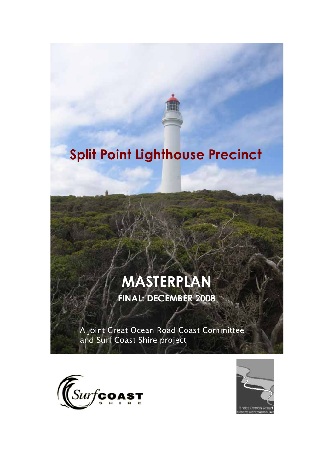# Split Point Lighthouse Precinct

# MASTERPLAN

**FINAL: DECEMBER 2008** 

A joint Great Ocean Road Coast Committee and Surf Coast Shire project



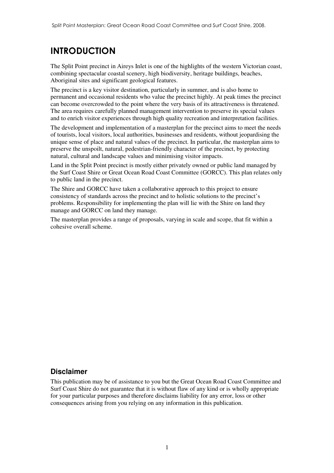## **INTRODUCTION**

The Split Point precinct in Aireys Inlet is one of the highlights of the western Victorian coast, combining spectacular coastal scenery, high biodiversity, heritage buildings, beaches, Aboriginal sites and significant geological features.

The precinct is a key visitor destination, particularly in summer, and is also home to permanent and occasional residents who value the precinct highly. At peak times the precinct can become overcrowded to the point where the very basis of its attractiveness is threatened. The area requires carefully planned management intervention to preserve its special values and to enrich visitor experiences through high quality recreation and interpretation facilities.

The development and implementation of a masterplan for the precinct aims to meet the needs of tourists, local visitors, local authorities, businesses and residents, without jeopardising the unique sense of place and natural values of the precinct. In particular, the masterplan aims to preserve the unspoilt, natural, pedestrian-friendly character of the precinct, by protecting natural, cultural and landscape values and minimising visitor impacts.

Land in the Split Point precinct is mostly either privately owned or public land managed by the Surf Coast Shire or Great Ocean Road Coast Committee (GORCC). This plan relates only to public land in the precinct.

The Shire and GORCC have taken a collaborative approach to this project to ensure consistency of standards across the precinct and to holistic solutions to the precinct's problems. Responsibility for implementing the plan will lie with the Shire on land they manage and GORCC on land they manage.

The masterplan provides a range of proposals, varying in scale and scope, that fit within a cohesive overall scheme.

#### **Disclaimer**

This publication may be of assistance to you but the Great Ocean Road Coast Committee and Surf Coast Shire do not guarantee that it is without flaw of any kind or is wholly appropriate for your particular purposes and therefore disclaims liability for any error, loss or other consequences arising from you relying on any information in this publication.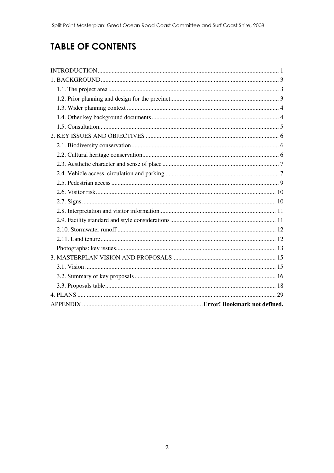## **TABLE OF CONTENTS**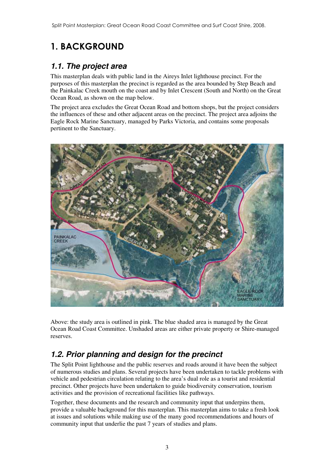## 1. BACKGROUND

### *1.1. The project area*

This masterplan deals with public land in the Aireys Inlet lighthouse precinct. For the purposes of this masterplan the precinct is regarded as the area bounded by Step Beach and the Painkalac Creek mouth on the coast and by Inlet Crescent (South and North) on the Great Ocean Road, as shown on the map below.

The project area excludes the Great Ocean Road and bottom shops, but the project considers the influences of these and other adjacent areas on the precinct. The project area adjoins the Eagle Rock Marine Sanctuary, managed by Parks Victoria, and contains some proposals pertinent to the Sanctuary.



Above: the study area is outlined in pink. The blue shaded area is managed by the Great Ocean Road Coast Committee. Unshaded areas are either private property or Shire-managed reserves.

## *1.2. Prior planning and design for the precinct*

The Split Point lighthouse and the public reserves and roads around it have been the subject of numerous studies and plans. Several projects have been undertaken to tackle problems with vehicle and pedestrian circulation relating to the area's dual role as a tourist and residential precinct. Other projects have been undertaken to guide biodiversity conservation, tourism activities and the provision of recreational facilities like pathways.

Together, these documents and the research and community input that underpins them, provide a valuable background for this masterplan. This masterplan aims to take a fresh look at issues and solutions while making use of the many good recommendations and hours of community input that underlie the past 7 years of studies and plans.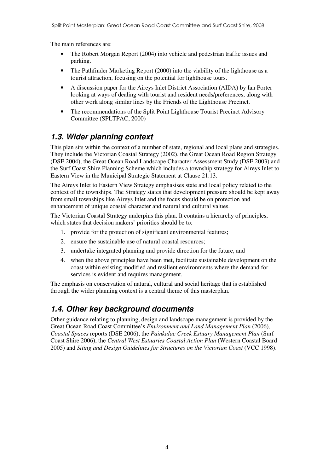The main references are:

- The Robert Morgan Report (2004) into vehicle and pedestrian traffic issues and parking.
- The Pathfinder Marketing Report (2000) into the viability of the lighthouse as a tourist attraction, focusing on the potential for lighthouse tours.
- A discussion paper for the Aireys Inlet District Association (AIDA) by Ian Porter looking at ways of dealing with tourist and resident needs/preferences, along with other work along similar lines by the Friends of the Lighthouse Precinct.
- The recommendations of the Split Point Lighthouse Tourist Precinct Advisory Committee (SPLTPAC, 2000)

### *1.3. Wider planning context*

This plan sits within the context of a number of state, regional and local plans and strategies. They include the Victorian Coastal Strategy (2002), the Great Ocean Road Region Strategy (DSE 2004), the Great Ocean Road Landscape Character Assessment Study (DSE 2003) and the Surf Coast Shire Planning Scheme which includes a township strategy for Aireys Inlet to Eastern View in the Municipal Strategic Statement at Clause 21.13.

The Aireys Inlet to Eastern View Strategy emphasises state and local policy related to the context of the townships. The Strategy states that development pressure should be kept away from small townships like Aireys Inlet and the focus should be on protection and enhancement of unique coastal character and natural and cultural values.

The Victorian Coastal Strategy underpins this plan. It contains a hierarchy of principles, which states that decision makers' priorities should be to:

- 1. provide for the protection of significant environmental features;
- 2. ensure the sustainable use of natural coastal resources;
- 3. undertake integrated planning and provide direction for the future, and
- 4. when the above principles have been met, facilitate sustainable development on the coast within existing modified and resilient environments where the demand for services is evident and requires management.

The emphasis on conservation of natural, cultural and social heritage that is established through the wider planning context is a central theme of this masterplan.

### *1.4. Other key background documents*

Other guidance relating to planning, design and landscape management is provided by the Great Ocean Road Coast Committee's *Environment and Land Management Plan* (2006)*, Coastal Spaces* reports (DSE 2006), the *Painkalac Creek Estuary Management Plan* (Surf Coast Shire 2006), the *Central West Estuaries Coastal Action Plan* (Western Coastal Board 2005) and *Siting and Design Guidelines for Structures on the Victorian Coast* (VCC 1998).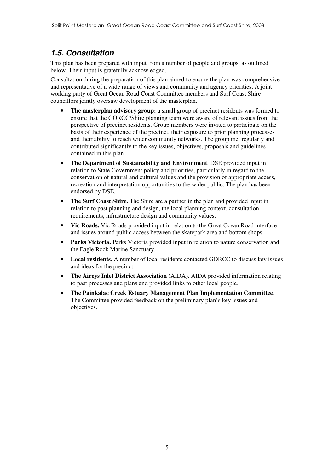### *1.5. Consultation*

This plan has been prepared with input from a number of people and groups, as outlined below. Their input is gratefully acknowledged.

Consultation during the preparation of this plan aimed to ensure the plan was comprehensive and representative of a wide range of views and community and agency priorities. A joint working party of Great Ocean Road Coast Committee members and Surf Coast Shire councillors jointly oversaw development of the masterplan.

- The masterplan advisory group: a small group of precinct residents was formed to ensure that the GORCC/Shire planning team were aware of relevant issues from the perspective of precinct residents. Group members were invited to participate on the basis of their experience of the precinct, their exposure to prior planning processes and their ability to reach wider community networks. The group met regularly and contributed significantly to the key issues, objectives, proposals and guidelines contained in this plan.
- **The Department of Sustainability and Environment**. DSE provided input in relation to State Government policy and priorities, particularly in regard to the conservation of natural and cultural values and the provision of appropriate access, recreation and interpretation opportunities to the wider public. The plan has been endorsed by DSE.
- **The Surf Coast Shire.** The Shire are a partner in the plan and provided input in relation to past planning and design, the local planning context, consultation requirements, infrastructure design and community values.
- **Vic Roads.** Vic Roads provided input in relation to the Great Ocean Road interface and issues around public access between the skatepark area and bottom shops.
- **Parks Victoria.** Parks Victoria provided input in relation to nature conservation and the Eagle Rock Marine Sanctuary.
- **Local residents.** A number of local residents contacted GORCC to discuss key issues and ideas for the precinct.
- **The Aireys Inlet District Association** (AIDA). AIDA provided information relating to past processes and plans and provided links to other local people.
- **The Painkalac Creek Estuary Management Plan Implementation Committee**. The Committee provided feedback on the preliminary plan's key issues and objectives.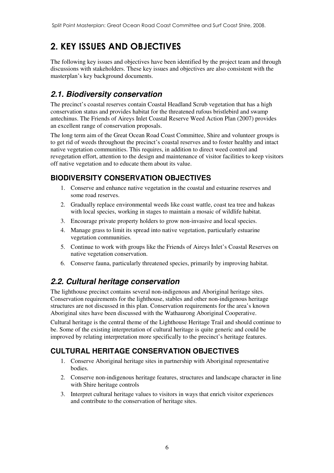## 2. KEY ISSUES AND OBJECTIVES

The following key issues and objectives have been identified by the project team and through discussions with stakeholders. These key issues and objectives are also consistent with the masterplan's key background documents.

### *2.1. Biodiversity conservation*

The precinct's coastal reserves contain Coastal Headland Scrub vegetation that has a high conservation status and provides habitat for the threatened rufous bristlebird and swamp antechinus. The Friends of Aireys Inlet Coastal Reserve Weed Action Plan (2007) provides an excellent range of conservation proposals.

The long term aim of the Great Ocean Road Coast Committee, Shire and volunteer groups is to get rid of weeds throughout the precinct's coastal reserves and to foster healthy and intact native vegetation communities. This requires, in addition to direct weed control and revegetation effort, attention to the design and maintenance of visitor facilities to keep visitors off native vegetation and to educate them about its value.

#### **BIODIVERSITY CONSERVATION OBJECTIVES**

- 1. Conserve and enhance native vegetation in the coastal and estuarine reserves and some road reserves.
- 2. Gradually replace environmental weeds like coast wattle, coast tea tree and hakeas with local species, working in stages to maintain a mosaic of wildlife habitat.
- 3. Encourage private property holders to grow non-invasive and local species.
- 4. Manage grass to limit its spread into native vegetation, particularly estuarine vegetation communities.
- 5. Continue to work with groups like the Friends of Aireys Inlet's Coastal Reserves on native vegetation conservation.
- 6. Conserve fauna, particularly threatened species, primarily by improving habitat.

### *2.2. Cultural heritage conservation*

The lighthouse precinct contains several non-indigenous and Aboriginal heritage sites. Conservation requirements for the lighthouse, stables and other non-indigenous heritage structures are not discussed in this plan. Conservation requirements for the area's known Aboriginal sites have been discussed with the Wathaurong Aboriginal Cooperative.

Cultural heritage is the central theme of the Lighthouse Heritage Trail and should continue to be. Some of the existing interpretation of cultural heritage is quite generic and could be improved by relating interpretation more specifically to the precinct's heritage features.

### **CULTURAL HERITAGE CONSERVATION OBJECTIVES**

- 1. Conserve Aboriginal heritage sites in partnership with Aboriginal representative bodies.
- 2. Conserve non-indigenous heritage features, structures and landscape character in line with Shire heritage controls
- 3. Interpret cultural heritage values to visitors in ways that enrich visitor experiences and contribute to the conservation of heritage sites.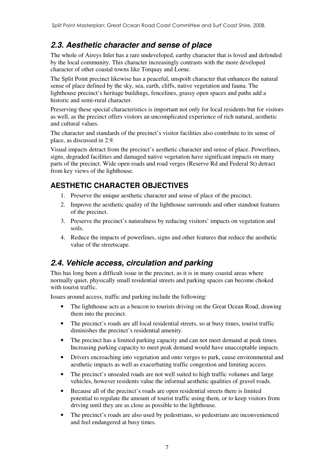### *2.3. Aesthetic character and sense of place*

The whole of Aireys Inlet has a rare undeveloped, earthy character that is loved and defended by the local community. This character increasingly contrasts with the more developed character of other coastal towns like Torquay and Lorne.

The Split Point precinct likewise has a peaceful, unspoilt character that enhances the natural sense of place defined by the sky, sea, earth, cliffs, native vegetation and fauna. The lighthouse precinct's heritage buildings, fencelines, grassy open spaces and paths add a historic and semi-rural character.

Preserving these special characteristics is important not only for local residents but for visitors as well, as the precinct offers visitors an uncomplicated experience of rich natural, aesthetic and cultural values.

The character and standards of the precinct's visitor facilities also contribute to its sense of place, as discussed in 2.9.

Visual impacts detract from the precinct's aesthetic character and sense of place. Powerlines, signs, degraded facilities and damaged native vegetation have significant impacts on many parts of the precinct. Wide open roads and road verges (Reserve Rd and Federal St) detract from key views of the lighthouse.

#### **AESTHETIC CHARACTER OBJECTIVES**

- 1. Preserve the unique aesthetic character and sense of place of the precinct.
- 2. Improve the aesthetic quality of the lighthouse surrounds and other standout features of the precinct.
- 3. Preserve the precinct's naturalness by reducing visitors' impacts on vegetation and soils.
- 4. Reduce the impacts of powerlines, signs and other features that reduce the aesthetic value of the streetscape.

### *2.4. Vehicle access, circulation and parking*

This has long been a difficult issue in the precinct, as it is in many coastal areas where normally quiet, physically small residential streets and parking spaces can become choked with tourist traffic.

Issues around access, traffic and parking include the following:

- The lighthouse acts as a beacon to tourists driving on the Great Ocean Road, drawing them into the precinct.
- The precinct's roads are all local residential streets, so at busy times, tourist traffic diminishes the precinct's residential amenity.
- The precinct has a limited parking capacity and can not meet demand at peak times. Increasing parking capacity to meet peak demand would have unacceptable impacts.
- Drivers encroaching into vegetation and onto verges to park, cause environmental and aesthetic impacts as well as exacerbating traffic congestion and limiting access.
- The precinct's unsealed roads are not well suited to high traffic volumes and large vehicles, however residents value the informal aesthetic qualities of gravel roads.
- Because all of the precinct's roads are open residential streets there is limited potential to regulate the amount of tourist traffic using them, or to keep visitors from driving until they are as close as possible to the lighthouse.
- The precinct's roads are also used by pedestrians, so pedestrians are inconvenienced and feel endangered at busy times.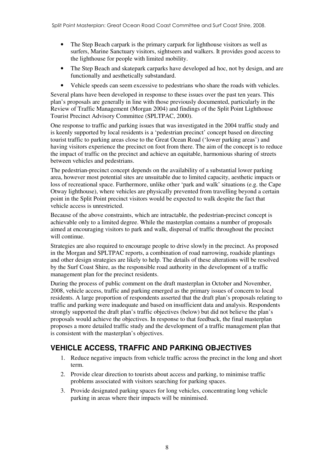- The Step Beach carpark is the primary carpark for lighthouse visitors as well as surfers, Marine Sanctuary visitors, sightseers and walkers. It provides good access to the lighthouse for people with limited mobility.
- The Step Beach and skatepark carparks have developed ad hoc, not by design, and are functionally and aesthetically substandard.
- Vehicle speeds can seem excessive to pedestrians who share the roads with vehicles.

Several plans have been developed in response to these issues over the past ten years. This plan's proposals are generally in line with those previously documented, particularly in the Review of Traffic Management (Morgan 2004) and findings of the Split Point Lighthouse Tourist Precinct Advisory Committee (SPLTPAC, 2000).

One response to traffic and parking issues that was investigated in the 2004 traffic study and is keenly supported by local residents is a 'pedestrian precinct' concept based on directing tourist traffic to parking areas close to the Great Ocean Road ('lower parking areas') and having visitors experience the precinct on foot from there. The aim of the concept is to reduce the impact of traffic on the precinct and achieve an equitable, harmonious sharing of streets between vehicles and pedestrians.

The pedestrian-precinct concept depends on the availability of a substantial lower parking area, however most potential sites are unsuitable due to limited capacity, aesthetic impacts or loss of recreational space. Furthermore, unlike other 'park and walk' situations (e.g. the Cape Otway lighthouse), where vehicles are physically prevented from travelling beyond a certain point in the Split Point precinct visitors would be expected to walk despite the fact that vehicle access is unrestricted.

Because of the above constraints, which are intractable, the pedestrian-precinct concept is achievable only to a limited degree. While the masterplan contains a number of proposals aimed at encouraging visitors to park and walk, dispersal of traffic throughout the precinct will continue.

Strategies are also required to encourage people to drive slowly in the precinct. As proposed in the Morgan and SPLTPAC reports, a combination of road narrowing, roadside plantings and other design strategies are likely to help. The details of these alterations will be resolved by the Surf Coast Shire, as the responsible road authority in the development of a traffic management plan for the precinct residents.

During the process of public comment on the draft masterplan in October and November, 2008, vehicle access, traffic and parking emerged as the primary issues of concern to local residents. A large proportion of respondents asserted that the draft plan's proposals relating to traffic and parking were inadequate and based on insufficient data and analysis. Respondents strongly supported the draft plan's traffic objectives (below) but did not believe the plan's proposals would achieve the objectives. In response to that feedback, the final masterplan proposes a more detailed traffic study and the development of a traffic management plan that is consistent with the masterplan's objectives.

#### **VEHICLE ACCESS, TRAFFIC AND PARKING OBJECTIVES**

- 1. Reduce negative impacts from vehicle traffic across the precinct in the long and short term.
- 2. Provide clear direction to tourists about access and parking, to minimise traffic problems associated with visitors searching for parking spaces.
- 3. Provide designated parking spaces for long vehicles, concentrating long vehicle parking in areas where their impacts will be minimised.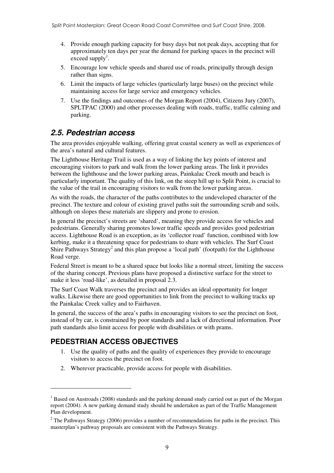- 4. Provide enough parking capacity for busy days but not peak days, accepting that for approximately ten days per year the demand for parking spaces in the precinct will exceed supply<sup>1</sup>.
- 5. Encourage low vehicle speeds and shared use of roads, principally through design rather than signs.
- 6. Limit the impacts of large vehicles (particularly large buses) on the precinct while maintaining access for large service and emergency vehicles.
- 7. Use the findings and outcomes of the Morgan Report (2004), Citizens Jury (2007), SPLTPAC (2000) and other processes dealing with roads, traffic, traffic calming and parking.

#### *2.5. Pedestrian access*

The area provides enjoyable walking, offering great coastal scenery as well as experiences of the area's natural and cultural features.

The Lighthouse Heritage Trail is used as a way of linking the key points of interest and encouraging visitors to park and walk from the lower parking areas. The link it provides between the lighthouse and the lower parking areas, Painkalac Creek mouth and beach is particularly important. The quality of this link, on the steep hill up to Split Point, is crucial to the value of the trail in encouraging visitors to walk from the lower parking areas.

As with the roads, the character of the paths contributes to the undeveloped character of the precinct. The texture and colour of existing gravel paths suit the surrounding scrub and soils, although on slopes these materials are slippery and prone to erosion.

In general the precinct's streets are 'shared', meaning they provide access for vehicles and pedestrians. Generally sharing promotes lower traffic speeds and provides good pedestrian access. Lighthouse Road is an exception, as its 'collector road' function, combined with low kerbing, make it a threatening space for pedestrians to share with vehicles. The Surf Coast Shire Pathways Strategy<sup>2</sup> and this plan propose a 'local path' (footpath) for the Lighthouse Road verge.

Federal Street is meant to be a shared space but looks like a normal street, limiting the success of the sharing concept. Previous plans have proposed a distinctive surface for the street to make it less 'road-like', as detailed in proposal 2.3.

The Surf Coast Walk traverses the precinct and provides an ideal opportunity for longer walks. Likewise there are good opportunities to link from the precinct to walking tracks up the Painkalac Creek valley and to Fairhaven.

In general, the success of the area's paths in encouraging visitors to see the precinct on foot, instead of by car, is constrained by poor standards and a lack of directional information. Poor path standards also limit access for people with disabilities or with prams.

#### **PEDESTRIAN ACCESS OBJECTIVES**

 $\overline{a}$ 

- 1. Use the quality of paths and the quality of experiences they provide to encourage visitors to access the precinct on foot.
- 2. Wherever practicable, provide access for people with disabilities.

<sup>&</sup>lt;sup>1</sup> Based on Austroads (2008) standards and the parking demand study carried out as part of the Morgan report (2004). A new parking demand study should be undertaken as part of the Traffic Management Plan development.

 $2^2$  The Pathways Strategy (2006) provides a number of recommendations for paths in the precinct. This masterplan's pathway proposals are consistent with the Pathways Strategy.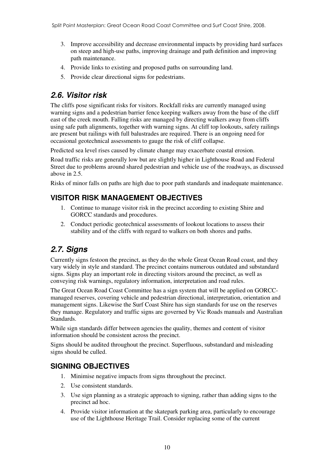- 3. Improve accessibility and decrease environmental impacts by providing hard surfaces on steep and high-use paths, improving drainage and path definition and improving path maintenance.
- 4. Provide links to existing and proposed paths on surrounding land.
- 5. Provide clear directional signs for pedestrians.

#### *2.6. Visitor risk*

The cliffs pose significant risks for visitors. Rockfall risks are currently managed using warning signs and a pedestrian barrier fence keeping walkers away from the base of the cliff east of the creek mouth. Falling risks are managed by directing walkers away from cliffs using safe path alignments, together with warning signs. At cliff top lookouts, safety railings are present but railings with full balustrades are required. There is an ongoing need for occasional geotechnical assessments to gauge the risk of cliff collapse.

Predicted sea level rises caused by climate change may exacerbate coastal erosion.

Road traffic risks are generally low but are slightly higher in Lighthouse Road and Federal Street due to problems around shared pedestrian and vehicle use of the roadways, as discussed above in 2.5.

Risks of minor falls on paths are high due to poor path standards and inadequate maintenance.

#### **VISITOR RISK MANAGEMENT OBJECTIVES**

- 1. Continue to manage visitor risk in the precinct according to existing Shire and GORCC standards and procedures.
- 2. Conduct periodic geotechnical assessments of lookout locations to assess their stability and of the cliffs with regard to walkers on both shores and paths.

### *2.7. Signs*

Currently signs festoon the precinct, as they do the whole Great Ocean Road coast, and they vary widely in style and standard. The precinct contains numerous outdated and substandard signs. Signs play an important role in directing visitors around the precinct, as well as conveying risk warnings, regulatory information, interpretation and road rules.

The Great Ocean Road Coast Committee has a sign system that will be applied on GORCCmanaged reserves, covering vehicle and pedestrian directional, interpretation, orientation and management signs. Likewise the Surf Coast Shire has sign standards for use on the reserves they manage. Regulatory and traffic signs are governed by Vic Roads manuals and Australian Standards.

While sign standards differ between agencies the quality, themes and content of visitor information should be consistent across the precinct.

Signs should be audited throughout the precinct. Superfluous, substandard and misleading signs should be culled.

#### **SIGNING OBJECTIVES**

- 1. Minimise negative impacts from signs throughout the precinct.
- 2. Use consistent standards.
- 3. Use sign planning as a strategic approach to signing, rather than adding signs to the precinct ad hoc.
- 4. Provide visitor information at the skatepark parking area, particularly to encourage use of the Lighthouse Heritage Trail. Consider replacing some of the current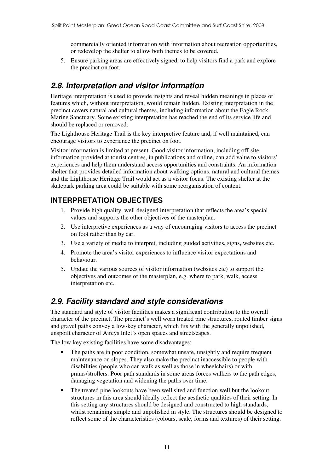commercially oriented information with information about recreation opportunities, or redevelop the shelter to allow both themes to be covered.

5. Ensure parking areas are effectively signed, to help visitors find a park and explore the precinct on foot.

#### *2.8. Interpretation and visitor information*

Heritage interpretation is used to provide insights and reveal hidden meanings in places or features which, without interpretation, would remain hidden. Existing interpretation in the precinct covers natural and cultural themes, including information about the Eagle Rock Marine Sanctuary. Some existing interpretation has reached the end of its service life and should be replaced or removed.

The Lighthouse Heritage Trail is the key interpretive feature and, if well maintained, can encourage visitors to experience the precinct on foot.

Visitor information is limited at present. Good visitor information, including off-site information provided at tourist centres, in publications and online, can add value to visitors' experiences and help them understand access opportunities and constraints. An information shelter that provides detailed information about walking options, natural and cultural themes and the Lighthouse Heritage Trail would act as a visitor focus. The existing shelter at the skatepark parking area could be suitable with some reorganisation of content.

#### **INTERPRETATION OBJECTIVES**

- 1. Provide high quality, well designed interpretation that reflects the area's special values and supports the other objectives of the masterplan.
- 2. Use interpretive experiences as a way of encouraging visitors to access the precinct on foot rather than by car.
- 3. Use a variety of media to interpret, including guided activities, signs, websites etc.
- 4. Promote the area's visitor experiences to influence visitor expectations and behaviour.
- 5. Update the various sources of visitor information (websites etc) to support the objectives and outcomes of the masterplan, e.g. where to park, walk, access interpretation etc.

### *2.9. Facility standard and style considerations*

The standard and style of visitor facilities makes a significant contribution to the overall character of the precinct. The precinct's well worn treated pine structures, routed timber signs and gravel paths convey a low-key character, which fits with the generally unpolished, unspoilt character of Aireys Inlet's open spaces and streetscapes.

The low-key existing facilities have some disadvantages:

- The paths are in poor condition, somewhat unsafe, unsightly and require frequent maintenance on slopes. They also make the precinct inaccessible to people with disabilities (people who can walk as well as those in wheelchairs) or with prams/strollers. Poor path standards in some areas forces walkers to the path edges, damaging vegetation and widening the paths over time.
- The treated pine lookouts have been well sited and function well but the lookout structures in this area should ideally reflect the aesthetic qualities of their setting. In this setting any structures should be designed and constructed to high standards, whilst remaining simple and unpolished in style. The structures should be designed to reflect some of the characteristics (colours, scale, forms and textures) of their setting.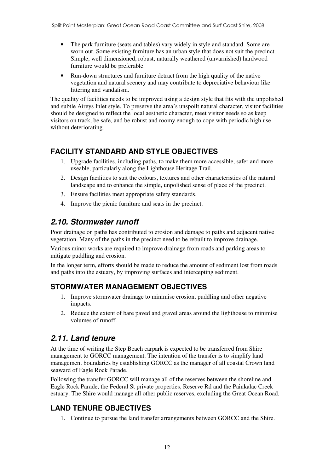- The park furniture (seats and tables) vary widely in style and standard. Some are worn out. Some existing furniture has an urban style that does not suit the precinct. Simple, well dimensioned, robust, naturally weathered (unvarnished) hardwood furniture would be preferable.
- Run-down structures and furniture detract from the high quality of the native vegetation and natural scenery and may contribute to depreciative behaviour like littering and vandalism.

The quality of facilities needs to be improved using a design style that fits with the unpolished and subtle Aireys Inlet style. To preserve the area's unspoilt natural character, visitor facilities should be designed to reflect the local aesthetic character, meet visitor needs so as keep visitors on track, be safe, and be robust and roomy enough to cope with periodic high use without deteriorating.

#### **FACILITY STANDARD AND STYLE OBJECTIVES**

- 1. Upgrade facilities, including paths, to make them more accessible, safer and more useable, particularly along the Lighthouse Heritage Trail.
- 2. Design facilities to suit the colours, textures and other characteristics of the natural landscape and to enhance the simple, unpolished sense of place of the precinct.
- 3. Ensure facilities meet appropriate safety standards.
- 4. Improve the picnic furniture and seats in the precinct.

#### *2.10. Stormwater runoff*

Poor drainage on paths has contributed to erosion and damage to paths and adjacent native vegetation. Many of the paths in the precinct need to be rebuilt to improve drainage.

Various minor works are required to improve drainage from roads and parking areas to mitigate puddling and erosion.

In the longer term, efforts should be made to reduce the amount of sediment lost from roads and paths into the estuary, by improving surfaces and intercepting sediment.

#### **STORMWATER MANAGEMENT OBJECTIVES**

- 1. Improve stormwater drainage to minimise erosion, puddling and other negative impacts.
- 2. Reduce the extent of bare paved and gravel areas around the lighthouse to minimise volumes of runoff.

#### *2.11. Land tenure*

At the time of writing the Step Beach carpark is expected to be transferred from Shire management to GORCC management. The intention of the transfer is to simplify land management boundaries by establishing GORCC as the manager of all coastal Crown land seaward of Eagle Rock Parade.

Following the transfer GORCC will manage all of the reserves between the shoreline and Eagle Rock Parade, the Federal St private properties, Reserve Rd and the Painkalac Creek estuary. The Shire would manage all other public reserves, excluding the Great Ocean Road.

#### **LAND TENURE OBJECTIVES**

1. Continue to pursue the land transfer arrangements between GORCC and the Shire.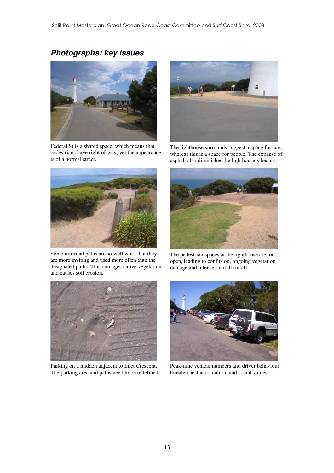### *Photographs: key issues*



Federal St is a shared space, which means that pedestrians have right of way, yet the appearance is of a normal street.



Some informal paths are so well worn that they are more inviting and used more often than the designated paths. This damages native vegetation and causes soil erosion.



The lighthouse surrounds suggest a space for cars, whereas this is a space for people. The expanse of asphalt also diminishes the lighthouse's beauty.



The pedestrian spaces at the lighthouse are too open, leading to confusion, ongoing vegetation damage and intense rainfall runoff.



Parking on a midden adjacent to Inlet Crescent. The parking area and paths need to be redefined.



Peak-time vehicle numbers and driver behaviour threaten aesthetic, natural and social values.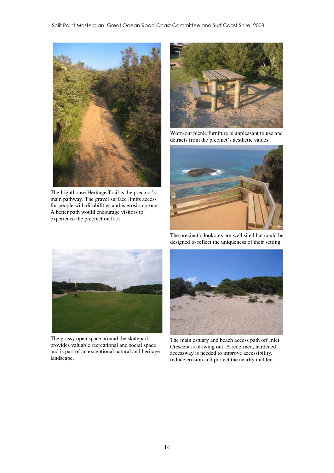

The Lighthouse Heritage Trail is the precinct's main pathway. The gravel surface limits access for people with disabilities and is erosion prone. A better path would encourage visitors to experience the precinct on foot



Worn-out picnic furniture is unpleasant to use and detracts from the precinct's aesthetic values.





The grassy open space around the skatepark provides valuable recreational and social space and is part of an exceptional natural and heritage landscape.

The precinct's lookouts are well sited but could be designed to reflect the uniqueness of their setting.



The main estuary and beach access path off Inlet Crescent is blowing out. A redefined, hardened accessway is needed to improve accessibility, reduce erosion and protect the nearby midden.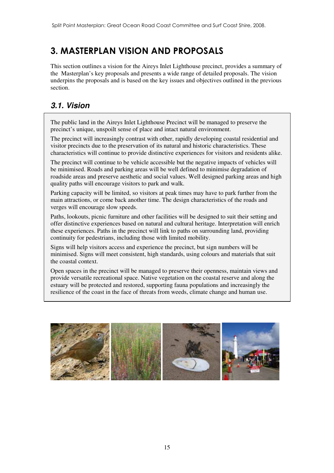## 3. MASTERPLAN VISION AND PROPOSALS

This section outlines a vision for the Aireys Inlet Lighthouse precinct, provides a summary of the Masterplan's key proposals and presents a wide range of detailed proposals. The vision underpins the proposals and is based on the key issues and objectives outlined in the previous section.

### *3.1. Vision*

The public land in the Aireys Inlet Lighthouse Precinct will be managed to preserve the precinct's unique, unspoilt sense of place and intact natural environment.

The precinct will increasingly contrast with other, rapidly developing coastal residential and visitor precincts due to the preservation of its natural and historic characteristics. These characteristics will continue to provide distinctive experiences for visitors and residents alike.

The precinct will continue to be vehicle accessible but the negative impacts of vehicles will be minimised. Roads and parking areas will be well defined to minimise degradation of roadside areas and preserve aesthetic and social values. Well designed parking areas and high quality paths will encourage visitors to park and walk.

Parking capacity will be limited, so visitors at peak times may have to park further from the main attractions, or come back another time. The design characteristics of the roads and verges will encourage slow speeds.

Paths, lookouts, picnic furniture and other facilities will be designed to suit their setting and offer distinctive experiences based on natural and cultural heritage. Interpretation will enrich these experiences. Paths in the precinct will link to paths on surrounding land, providing continuity for pedestrians, including those with limited mobility.

Signs will help visitors access and experience the precinct, but sign numbers will be minimised. Signs will meet consistent, high standards, using colours and materials that suit the coastal context.

Open spaces in the precinct will be managed to preserve their openness, maintain views and provide versatile recreational space. Native vegetation on the coastal reserve and along the estuary will be protected and restored, supporting fauna populations and increasingly the resilience of the coast in the face of threats from weeds, climate change and human use.

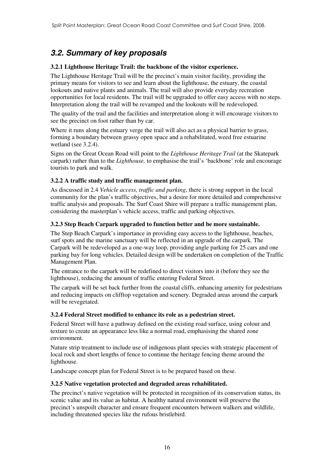### *3.2. Summary of key proposals*

#### **3.2.1 Lighthouse Heritage Trail: the backbone of the visitor experience.**

The Lighthouse Heritage Trail will be the precinct's main visitor facility, providing the primary means for visitors to see and learn about the lighthouse, the estuary, the coastal lookouts and native plants and animals. The trail will also provide everyday recreation opportunities for local residents. The trail will be upgraded to offer easy access with no steps. Interpretation along the trail will be revamped and the lookouts will be redeveloped.

The quality of the trail and the facilities and interpretation along it will encourage visitors to see the precinct on foot rather than by car.

Where it runs along the estuary verge the trail will also act as a physical barrier to grass, forming a boundary between grassy open space and a rehabilitated, weed free estuarine wetland (see 3.2.4).

Signs on the Great Ocean Road will point to the *Lighthouse Heritage Trail* (at the Skatepark carpark) rather than to the *Lighthouse,* to emphasise the trail's 'backbone' role and encourage tourists to park and walk.

#### **3.2.2 A traffic study and traffic management plan.**

As discussed in 2.4 *Vehicle access, traffic and parking*, there is strong support in the local community for the plan's traffic objectives, but a desire for more detailed and comprehensive traffic analysis and proposals. The Surf Coast Shire will prepare a traffic management plan, considering the masterplan's vehicle access, traffic and parking objectives.

#### **3.2.3 Step Beach Carpark upgraded to function better and be more sustainable.**

The Step Beach Carpark's importance in providing easy access to the lighthouse, beaches, surf spots and the marine sanctuary will be reflected in an upgrade of the carpark. The Carpark will be redeveloped as a one-way loop, providing angle parking for 25 cars and one parking bay for long vehicles. Detailed design will be undertaken on completion of the Traffic Management Plan.

The entrance to the carpark will be redefined to direct visitors into it (before they see the lighthouse), reducing the amount of traffic entering Federal Street.

The carpark will be set back further from the coastal cliffs, enhancing amenity for pedestrians and reducing impacts on clifftop vegetation and scenery. Degraded areas around the carpark will be revegetated.

#### **3.2.4 Federal Street modified to enhance its role as a pedestrian street.**

Federal Street will have a pathway defined on the existing road surface, using colour and texture to create an appearance less like a normal road, emphasising the shared zone environment.

Nature strip treatment to include use of indigenous plant species with strategic placement of local rock and short lengths of fence to continue the heritage fencing theme around the lighthouse.

Landscape concept plan for Federal Street is to be prepared based on these.

#### **3.2.5 Native vegetation protected and degraded areas rehabilitated.**

The precinct's native vegetation will be protected in recognition of its conservation status, its scenic value and its value as habitat. A healthy natural environment will preserve the precinct's unspoilt character and ensure frequent encounters between walkers and wildlife, including threatened species like the rufous bristlebird.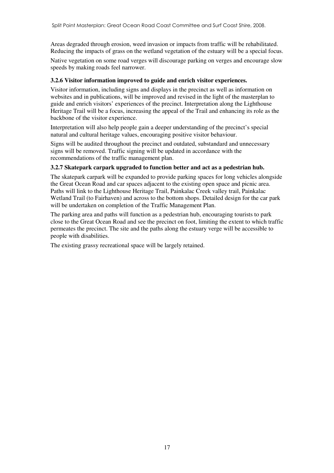Areas degraded through erosion, weed invasion or impacts from traffic will be rehabilitated. Reducing the impacts of grass on the wetland vegetation of the estuary will be a special focus.

Native vegetation on some road verges will discourage parking on verges and encourage slow speeds by making roads feel narrower.

#### **3.2.6 Visitor information improved to guide and enrich visitor experiences.**

Visitor information, including signs and displays in the precinct as well as information on websites and in publications, will be improved and revised in the light of the masterplan to guide and enrich visitors' experiences of the precinct. Interpretation along the Lighthouse Heritage Trail will be a focus, increasing the appeal of the Trail and enhancing its role as the backbone of the visitor experience.

Interpretation will also help people gain a deeper understanding of the precinct's special natural and cultural heritage values, encouraging positive visitor behaviour.

Signs will be audited throughout the precinct and outdated, substandard and unnecessary signs will be removed. Traffic signing will be updated in accordance with the recommendations of the traffic management plan.

#### **3.2.7 Skatepark carpark upgraded to function better and act as a pedestrian hub.**

The skatepark carpark will be expanded to provide parking spaces for long vehicles alongside the Great Ocean Road and car spaces adjacent to the existing open space and picnic area. Paths will link to the Lighthouse Heritage Trail, Painkalac Creek valley trail, Painkalac Wetland Trail (to Fairhaven) and across to the bottom shops. Detailed design for the car park will be undertaken on completion of the Traffic Management Plan.

The parking area and paths will function as a pedestrian hub, encouraging tourists to park close to the Great Ocean Road and see the precinct on foot, limiting the extent to which traffic permeates the precinct. The site and the paths along the estuary verge will be accessible to people with disabilities.

The existing grassy recreational space will be largely retained.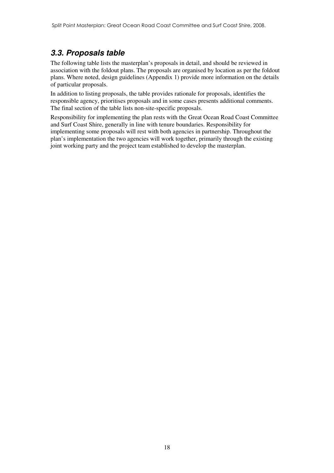### *3.3. Proposals table*

The following table lists the masterplan's proposals in detail, and should be reviewed in association with the foldout plans. The proposals are organised by location as per the foldout plans. Where noted, design guidelines (Appendix 1) provide more information on the details of particular proposals.

In addition to listing proposals, the table provides rationale for proposals, identifies the responsible agency, prioritises proposals and in some cases presents additional comments. The final section of the table lists non-site-specific proposals.

Responsibility for implementing the plan rests with the Great Ocean Road Coast Committee and Surf Coast Shire, generally in line with tenure boundaries. Responsibility for implementing some proposals will rest with both agencies in partnership. Throughout the plan's implementation the two agencies will work together, primarily through the existing joint working party and the project team established to develop the masterplan.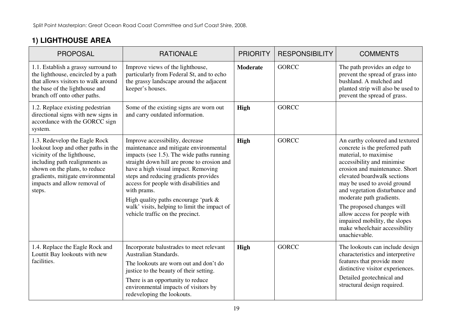## **1) LIGHTHOUSE AREA**

| <b>PROPOSAL</b>                                                                                                                                                                                                                                       | <b>RATIONALE</b>                                                                                                                                                                                                                                                                                                                                                                                                                               | <b>PRIORITY</b> | <b>RESPONSIBILITY</b> | <b>COMMENTS</b>                                                                                                                                                                                                                                                                                                                                                                                                                        |
|-------------------------------------------------------------------------------------------------------------------------------------------------------------------------------------------------------------------------------------------------------|------------------------------------------------------------------------------------------------------------------------------------------------------------------------------------------------------------------------------------------------------------------------------------------------------------------------------------------------------------------------------------------------------------------------------------------------|-----------------|-----------------------|----------------------------------------------------------------------------------------------------------------------------------------------------------------------------------------------------------------------------------------------------------------------------------------------------------------------------------------------------------------------------------------------------------------------------------------|
| 1.1. Establish a grassy surround to<br>the lighthouse, encircled by a path<br>that allows visitors to walk around<br>the base of the lighthouse and<br>branch off onto other paths.                                                                   | Improve views of the lighthouse,<br>particularly from Federal St, and to echo<br>the grassy landscape around the adjacent<br>keeper's houses.                                                                                                                                                                                                                                                                                                  | <b>Moderate</b> | <b>GORCC</b>          | The path provides an edge to<br>prevent the spread of grass into<br>bushland. A mulched and<br>planted strip will also be used to<br>prevent the spread of grass.                                                                                                                                                                                                                                                                      |
| 1.2. Replace existing pedestrian<br>directional signs with new signs in<br>accordance with the GORCC sign<br>system.                                                                                                                                  | Some of the existing signs are worn out<br>and carry outdated information.                                                                                                                                                                                                                                                                                                                                                                     | <b>High</b>     | <b>GORCC</b>          |                                                                                                                                                                                                                                                                                                                                                                                                                                        |
| 1.3. Redevelop the Eagle Rock<br>lookout loop and other paths in the<br>vicinity of the lighthouse,<br>including path realignments as<br>shown on the plans, to reduce<br>gradients, mitigate environmental<br>impacts and allow removal of<br>steps. | Improve accessibility, decrease<br>maintenance and mitigate environmental<br>impacts (see 1.5). The wide paths running<br>straight down hill are prone to erosion and<br>have a high visual impact. Removing<br>steps and reducing gradients provides<br>access for people with disabilities and<br>with prams.<br>High quality paths encourage 'park $\&$<br>walk' visits, helping to limit the impact of<br>vehicle traffic on the precinct. | <b>High</b>     | <b>GORCC</b>          | An earthy coloured and textured<br>concrete is the preferred path<br>material, to maximise<br>accessibility and minimise<br>erosion and maintenance. Short<br>elevated boardwalk sections<br>may be used to avoid ground<br>and vegetation disturbance and<br>moderate path gradients.<br>The proposed changes will<br>allow access for people with<br>impaired mobility, the slopes<br>make wheelchair accessibility<br>unachievable. |
| 1.4. Replace the Eagle Rock and<br>Louttit Bay lookouts with new<br>facilities.                                                                                                                                                                       | Incorporate balustrades to meet relevant<br>Australian Standards.<br>The lookouts are worn out and don't do<br>justice to the beauty of their setting.<br>There is an opportunity to reduce<br>environmental impacts of visitors by<br>redeveloping the lookouts.                                                                                                                                                                              | <b>High</b>     | <b>GORCC</b>          | The lookouts can include design<br>characteristics and interpretive<br>features that provide more<br>distinctive visitor experiences.<br>Detailed geotechnical and<br>structural design required.                                                                                                                                                                                                                                      |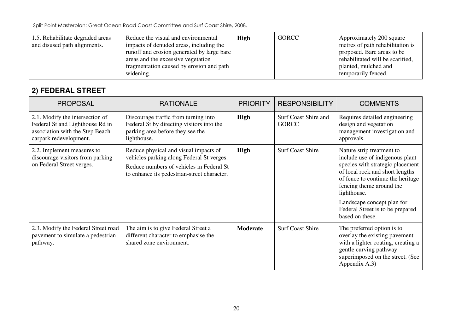| 1.5. Rehabilitate degraded areas<br>and disused path alignments. | Reduce the visual and environmental<br>impacts of denuded areas, including the<br>runoff and erosion generated by large bare<br>areas and the excessive vegetation<br>fragmentation caused by erosion and path<br>widening. | <b>High</b> | <b>GORCC</b> | Approximately 200 square<br>metres of path rehabilitation is<br>proposed. Bare areas to be<br>rehabilitated will be scarified,<br>planted, mulched and<br>temporarily fenced. |
|------------------------------------------------------------------|-----------------------------------------------------------------------------------------------------------------------------------------------------------------------------------------------------------------------------|-------------|--------------|-------------------------------------------------------------------------------------------------------------------------------------------------------------------------------|
|------------------------------------------------------------------|-----------------------------------------------------------------------------------------------------------------------------------------------------------------------------------------------------------------------------|-------------|--------------|-------------------------------------------------------------------------------------------------------------------------------------------------------------------------------|

### **2) FEDERAL STREET**

| <b>PROPOSAL</b>                                                                                                                 | <b>RATIONALE</b>                                                                                                                                                              | <b>PRIORITY</b> | <b>RESPONSIBILITY</b>                | <b>COMMENTS</b>                                                                                                                                                                                                                                                                                          |
|---------------------------------------------------------------------------------------------------------------------------------|-------------------------------------------------------------------------------------------------------------------------------------------------------------------------------|-----------------|--------------------------------------|----------------------------------------------------------------------------------------------------------------------------------------------------------------------------------------------------------------------------------------------------------------------------------------------------------|
| 2.1. Modify the intersection of<br>Federal St and Lighthouse Rd in<br>association with the Step Beach<br>carpark redevelopment. | Discourage traffic from turning into<br>Federal St by directing visitors into the<br>parking area before they see the<br>lighthouse.                                          | <b>High</b>     | Surf Coast Shire and<br><b>GORCC</b> | Requires detailed engineering<br>design and vegetation<br>management investigation and<br>approvals.                                                                                                                                                                                                     |
| 2.2. Implement measures to<br>discourage visitors from parking<br>on Federal Street verges.                                     | Reduce physical and visual impacts of<br>vehicles parking along Federal St verges.<br>Reduce numbers of vehicles in Federal St<br>to enhance its pedestrian-street character. | <b>High</b>     | <b>Surf Coast Shire</b>              | Nature strip treatment to<br>include use of indigenous plant<br>species with strategic placement<br>of local rock and short lengths<br>of fence to continue the heritage<br>fencing theme around the<br>lighthouse.<br>Landscape concept plan for<br>Federal Street is to be prepared<br>based on these. |
| 2.3. Modify the Federal Street road<br>pavement to simulate a pedestrian<br>pathway.                                            | The aim is to give Federal Street a<br>different character to emphasise the<br>shared zone environment.                                                                       | <b>Moderate</b> | <b>Surf Coast Shire</b>              | The preferred option is to<br>overlay the existing pavement<br>with a lighter coating, creating a<br>gentle curving pathway<br>superimposed on the street. (See<br>Appendix A.3)                                                                                                                         |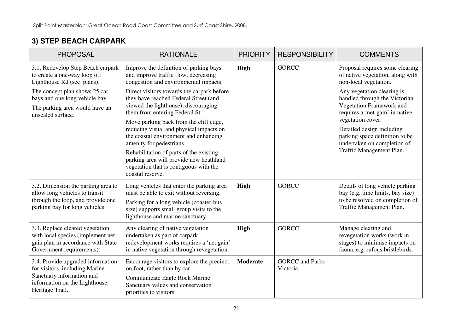### **3) STEP BEACH CARPARK**

| <b>PROPOSAL</b>                                                                                                                                      | <b>RATIONALE</b>                                                                                                                                                                                                | <b>PRIORITY</b> | <b>RESPONSIBILITY</b>               | <b>COMMENTS</b>                                                                                                                    |
|------------------------------------------------------------------------------------------------------------------------------------------------------|-----------------------------------------------------------------------------------------------------------------------------------------------------------------------------------------------------------------|-----------------|-------------------------------------|------------------------------------------------------------------------------------------------------------------------------------|
| 3.1. Redevelop Step Beach carpark<br>to create a one-way loop off<br>Lighthouse Rd (see plans).                                                      | Improve the definition of parking bays<br>and improve traffic flow, decreasing<br>congestion and environmental impacts.                                                                                         | <b>High</b>     | <b>GORCC</b>                        | Proposal requires some clearing<br>of native vegetation, along with<br>non-local vegetation.                                       |
| The concept plan shows 25 car<br>bays and one long vehicle bay.<br>The parking area would have an<br>unsealed surface.                               | Direct visitors towards the carpark before<br>they have reached Federal Street (and<br>viewed the lighthouse), discouraging<br>them from entering Federal St.                                                   |                 |                                     | Any vegetation clearing is<br>handled through the Victorian<br>Vegetation Framework and<br>requires a 'net-gain' in native         |
|                                                                                                                                                      | Move parking back from the cliff edge,<br>reducing visual and physical impacts on<br>the coastal environment and enhancing<br>amenity for pedestrians.                                                          |                 |                                     | vegetation cover.<br>Detailed design including<br>parking space definition to be<br>undertaken on completion of                    |
|                                                                                                                                                      | Rehabilitation of parts of the existing<br>parking area will provide new heathland<br>vegetation that is contiguous with the<br>coastal reserve.                                                                |                 |                                     | Traffic Management Plan.                                                                                                           |
| 3.2. Dimension the parking area to<br>allow long vehicles to transit<br>through the loop, and provide one<br>parking bay for long vehicles.          | Long vehicles that enter the parking area<br>must be able to exit without reversing.<br>Parking for a long vehicle (coaster-bus<br>size) supports small group visits to the<br>lighthouse and marine sanctuary. | <b>High</b>     | <b>GORCC</b>                        | Details of long vehicle parking<br>bay (e.g. time limits, bay size)<br>to be resolved on completion of<br>Traffic Management Plan. |
| 3.3. Replace cleared vegetation<br>with local species (implement net<br>gain plan in accordance with State<br>Government requirements).              | Any clearing of native vegetation<br>undertaken as part of carpark<br>redevelopment works requires a 'net gain'<br>in native vegetation through revegetation.                                                   | <b>High</b>     | <b>GORCC</b>                        | Manage clearing and<br>revegetation works (work in<br>stages) to minimise impacts on<br>fauna, e.g. rufous bristlebirds.           |
| 3.4. Provide upgraded information<br>for visitors, including Marine<br>Sanctuary information and<br>information on the Lighthouse<br>Heritage Trail. | Encourage visitors to explore the precinct<br>on foot, rather than by car.<br>Communicate Eagle Rock Marine<br>Sanctuary values and conservation<br>priorities to visitors.                                     | <b>Moderate</b> | <b>GORCC</b> and Parks<br>Victoria. |                                                                                                                                    |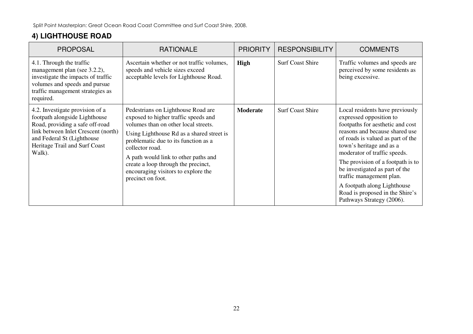### **4) LIGHTHOUSE ROAD**

| <b>PROPOSAL</b>                                                                                                                                                                                                     | <b>RATIONALE</b>                                                                                                                                                                                                                                                                                                                                                      | <b>PRIORITY</b> | <b>RESPONSIBILITY</b>   | <b>COMMENTS</b>                                                                                                                                                                                                                                                                                                                                                                                                                     |
|---------------------------------------------------------------------------------------------------------------------------------------------------------------------------------------------------------------------|-----------------------------------------------------------------------------------------------------------------------------------------------------------------------------------------------------------------------------------------------------------------------------------------------------------------------------------------------------------------------|-----------------|-------------------------|-------------------------------------------------------------------------------------------------------------------------------------------------------------------------------------------------------------------------------------------------------------------------------------------------------------------------------------------------------------------------------------------------------------------------------------|
| 4.1. Through the traffic<br>management plan (see 3.2.2),<br>investigate the impacts of traffic<br>volumes and speeds and pursue<br>traffic management strategies as<br>required.                                    | Ascertain whether or not traffic volumes,<br>speeds and vehicle sizes exceed<br>acceptable levels for Lighthouse Road.                                                                                                                                                                                                                                                | <b>High</b>     | <b>Surf Coast Shire</b> | Traffic volumes and speeds are<br>perceived by some residents as<br>being excessive.                                                                                                                                                                                                                                                                                                                                                |
| 4.2. Investigate provision of a<br>footpath alongside Lighthouse<br>Road, providing a safe off-road<br>link between Inlet Crescent (north)<br>and Federal St (Lighthouse<br>Heritage Trail and Surf Coast<br>Walk). | Pedestrians on Lighthouse Road are<br>exposed to higher traffic speeds and<br>volumes than on other local streets.<br>Using Lighthouse Rd as a shared street is<br>problematic due to its function as a<br>collector road.<br>A path would link to other paths and<br>create a loop through the precinct,<br>encouraging visitors to explore the<br>precinct on foot. | <b>Moderate</b> | <b>Surf Coast Shire</b> | Local residents have previously<br>expressed opposition to<br>footpaths for aesthetic and cost<br>reasons and because shared use<br>of roads is valued as part of the<br>town's heritage and as a<br>moderator of traffic speeds.<br>The provision of a footpath is to<br>be investigated as part of the<br>traffic management plan.<br>A footpath along Lighthouse<br>Road is proposed in the Shire's<br>Pathways Strategy (2006). |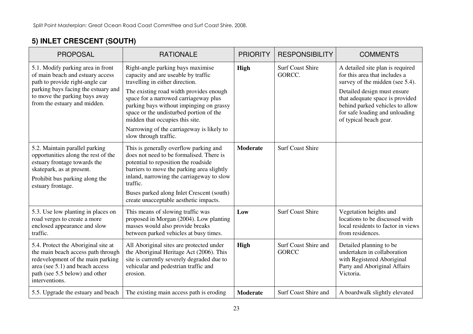## **5) INLET CRESCENT (SOUTH)**

| <b>PROPOSAL</b>                                                                                                                                                                                                  | <b>RATIONALE</b>                                                                                                                                                                                                                                                                                                                                                                                | <b>PRIORITY</b> | <b>RESPONSIBILITY</b>                | <b>COMMENTS</b>                                                                                                                                                                                                                                                       |
|------------------------------------------------------------------------------------------------------------------------------------------------------------------------------------------------------------------|-------------------------------------------------------------------------------------------------------------------------------------------------------------------------------------------------------------------------------------------------------------------------------------------------------------------------------------------------------------------------------------------------|-----------------|--------------------------------------|-----------------------------------------------------------------------------------------------------------------------------------------------------------------------------------------------------------------------------------------------------------------------|
| 5.1. Modify parking area in front<br>of main beach and estuary access<br>path to provide right-angle car<br>parking bays facing the estuary and<br>to move the parking bays away<br>from the estuary and midden. | Right-angle parking bays maximise<br>capacity and are useable by traffic<br>travelling in either direction.<br>The existing road width provides enough<br>space for a narrowed carriageway plus<br>parking bays without impinging on grassy<br>space or the undisturbed portion of the<br>midden that occupies this site.<br>Narrowing of the carriageway is likely to<br>slow through traffic. | <b>High</b>     | <b>Surf Coast Shire</b><br>GORCC.    | A detailed site plan is required<br>for this area that includes a<br>survey of the midden (see 5.4).<br>Detailed design must ensure<br>that adequate space is provided<br>behind parked vehicles to allow<br>for safe loading and unloading<br>of typical beach gear. |
| 5.2. Maintain parallel parking<br>opportunities along the rest of the<br>estuary frontage towards the<br>skatepark, as at present.<br>Prohibit bus parking along the<br>estuary frontage.                        | This is generally overflow parking and<br>does not need to be formalised. There is<br>potential to reposition the roadside<br>barriers to move the parking area slightly<br>inland, narrowing the carriageway to slow<br>traffic.<br>Buses parked along Inlet Crescent (south)<br>create unacceptable aesthetic impacts.                                                                        | <b>Moderate</b> | <b>Surf Coast Shire</b>              |                                                                                                                                                                                                                                                                       |
| 5.3. Use low planting in places on<br>road verges to create a more<br>enclosed appearance and slow<br>traffic.                                                                                                   | This means of slowing traffic was<br>proposed in Morgan (2004). Low planting<br>masses would also provide breaks<br>between parked vehicles at busy times.                                                                                                                                                                                                                                      | Low             | <b>Surf Coast Shire</b>              | Vegetation heights and<br>locations to be discussed with<br>local residents to factor in views<br>from residences.                                                                                                                                                    |
| 5.4. Protect the Aboriginal site at<br>the main beach access path through<br>redevelopment of the main parking<br>area (see 5.1) and beach access<br>path (see 5.5 below) and other<br>interventions.            | All Aboriginal sites are protected under<br>the Aboriginal Heritage Act (2006). This<br>site is currently severely degraded due to<br>vehicular and pedestrian traffic and<br>erosion.                                                                                                                                                                                                          | <b>High</b>     | Surf Coast Shire and<br><b>GORCC</b> | Detailed planning to be<br>undertaken in collaboration<br>with Registered Aboriginal<br>Party and Aboriginal Affairs<br>Victoria.                                                                                                                                     |
| 5.5. Upgrade the estuary and beach                                                                                                                                                                               | The existing main access path is eroding                                                                                                                                                                                                                                                                                                                                                        | <b>Moderate</b> | Surf Coast Shire and                 | A boardwalk slightly elevated                                                                                                                                                                                                                                         |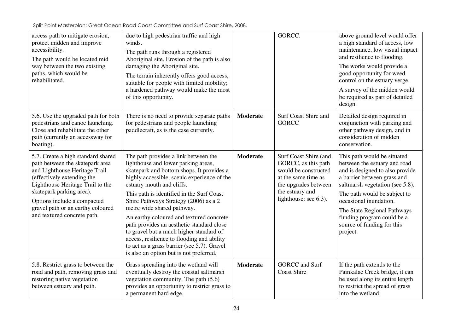| access path to mitigate erosion,<br>protect midden and improve<br>accessibility.<br>The path would be located mid<br>way between the two existing<br>paths, which would be<br>rehabilitated.                                                                                                            | due to high pedestrian traffic and high<br>winds.<br>The path runs through a registered<br>Aboriginal site. Erosion of the path is also<br>damaging the Aboriginal site.<br>The terrain inherently offers good access,<br>suitable for people with limited mobility;<br>a hardened pathway would make the most<br>of this opportunity.                                                                                                                                                                                                                                                               |                 | GORCC.                                                                                                                                                          | above ground level would offer<br>a high standard of access, low<br>maintenance, low visual impact<br>and resilience to flooding.<br>The works would provide a<br>good opportunity for weed<br>control on the estuary verge.<br>A survey of the midden would<br>be required as part of detailed<br>design.                        |
|---------------------------------------------------------------------------------------------------------------------------------------------------------------------------------------------------------------------------------------------------------------------------------------------------------|------------------------------------------------------------------------------------------------------------------------------------------------------------------------------------------------------------------------------------------------------------------------------------------------------------------------------------------------------------------------------------------------------------------------------------------------------------------------------------------------------------------------------------------------------------------------------------------------------|-----------------|-----------------------------------------------------------------------------------------------------------------------------------------------------------------|-----------------------------------------------------------------------------------------------------------------------------------------------------------------------------------------------------------------------------------------------------------------------------------------------------------------------------------|
| 5.6. Use the upgraded path for both<br>pedestrians and canoe launching.<br>Close and rehabilitate the other<br>path (currently an accessway for<br>boating).                                                                                                                                            | There is no need to provide separate paths<br>for pedestrians and people launching<br>paddlecraft, as is the case currently.                                                                                                                                                                                                                                                                                                                                                                                                                                                                         | <b>Moderate</b> | Surf Coast Shire and<br><b>GORCC</b>                                                                                                                            | Detailed design required in<br>conjunction with parking and<br>other pathway design, and in<br>consideration of midden<br>conservation.                                                                                                                                                                                           |
| 5.7. Create a high standard shared<br>path between the skatepark area<br>and Lighthouse Heritage Trail<br>(effectively extending the<br>Lighthouse Heritage Trail to the<br>skatepark parking area).<br>Options include a compacted<br>gravel path or an earthy coloured<br>and textured concrete path. | The path provides a link between the<br>lighthouse and lower parking areas,<br>skatepark and bottom shops. It provides a<br>highly accessible, scenic experience of the<br>estuary mouth and cliffs.<br>This path is identified in the Surf Coast<br>Shire Pathways Strategy (2006) as a 2<br>metre wide shared pathway.<br>An earthy coloured and textured concrete<br>path provides an aesthetic standard close<br>to gravel but a much higher standard of<br>access, resilience to flooding and ability<br>to act as a grass barrier (see 5.7). Gravel<br>is also an option but is not preferred. | <b>Moderate</b> | Surf Coast Shire (and<br>GORCC, as this path<br>would be constructed<br>at the same time as<br>the upgrades between<br>the estuary and<br>lighthouse: see 6.3). | This path would be situated<br>between the estuary and road<br>and is designed to also provide<br>a barrier between grass and<br>saltmarsh vegetation (see 5.8).<br>The path would be subject to<br>occasional inundation.<br>The State Regional Pathways<br>funding program could be a<br>source of funding for this<br>project. |
| 5.8. Restrict grass to between the<br>road and path, removing grass and<br>restoring native vegetation<br>between estuary and path.                                                                                                                                                                     | Grass spreading into the wetland will<br>eventually destroy the coastal saltmarsh<br>vegetation community. The path $(5.6)$<br>provides an opportunity to restrict grass to<br>a permanent hard edge.                                                                                                                                                                                                                                                                                                                                                                                                | <b>Moderate</b> | <b>GORCC</b> and Surf<br><b>Coast Shire</b>                                                                                                                     | If the path extends to the<br>Painkalac Creek bridge, it can<br>be used along its entire length<br>to restrict the spread of grass<br>into the wetland.                                                                                                                                                                           |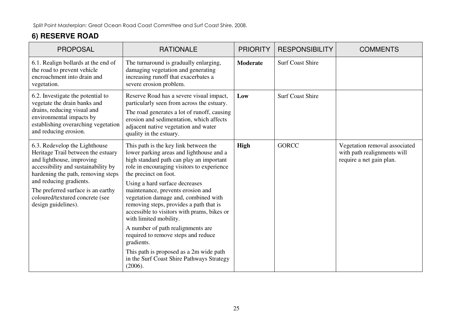## **6) RESERVE ROAD**

| <b>PROPOSAL</b>                                                                                                                                                                                                                                                                                          | <b>RATIONALE</b>                                                                                                                                                                                                                                                                                                                                                                                                                                                                                                                                                                                                                     | <b>PRIORITY</b> | <b>RESPONSIBILITY</b>   | <b>COMMENTS</b>                                                                          |
|----------------------------------------------------------------------------------------------------------------------------------------------------------------------------------------------------------------------------------------------------------------------------------------------------------|--------------------------------------------------------------------------------------------------------------------------------------------------------------------------------------------------------------------------------------------------------------------------------------------------------------------------------------------------------------------------------------------------------------------------------------------------------------------------------------------------------------------------------------------------------------------------------------------------------------------------------------|-----------------|-------------------------|------------------------------------------------------------------------------------------|
| 6.1. Realign bollards at the end of<br>the road to prevent vehicle<br>encroachment into drain and<br>vegetation.                                                                                                                                                                                         | The turnaround is gradually enlarging,<br>damaging vegetation and generating<br>increasing runoff that exacerbates a<br>severe erosion problem.                                                                                                                                                                                                                                                                                                                                                                                                                                                                                      | <b>Moderate</b> | <b>Surf Coast Shire</b> |                                                                                          |
| 6.2. Investigate the potential to<br>vegetate the drain banks and<br>drains, reducing visual and<br>environmental impacts by<br>establishing overarching vegetation<br>and reducing erosion.                                                                                                             | Reserve Road has a severe visual impact,<br>particularly seen from across the estuary.<br>The road generates a lot of runoff, causing<br>erosion and sedimentation, which affects<br>adjacent native vegetation and water<br>quality in the estuary.                                                                                                                                                                                                                                                                                                                                                                                 | Low             | <b>Surf Coast Shire</b> |                                                                                          |
| 6.3. Redevelop the Lighthouse<br>Heritage Trail between the estuary<br>and lighthouse, improving<br>accessibility and sustainability by<br>hardening the path, removing steps<br>and reducing gradients.<br>The preferred surface is an earthy<br>coloured/textured concrete (see<br>design guidelines). | This path is the key link between the<br>lower parking areas and lighthouse and a<br>high standard path can play an important<br>role in encouraging visitors to experience<br>the precinct on foot.<br>Using a hard surface decreases<br>maintenance, prevents erosion and<br>vegetation damage and, combined with<br>removing steps, provides a path that is<br>accessible to visitors with prams, bikes or<br>with limited mobility.<br>A number of path realignments are<br>required to remove steps and reduce<br>gradients.<br>This path is proposed as a 2m wide path<br>in the Surf Coast Shire Pathways Strategy<br>(2006). | <b>High</b>     | <b>GORCC</b>            | Vegetation removal associated<br>with path realignments will<br>require a net gain plan. |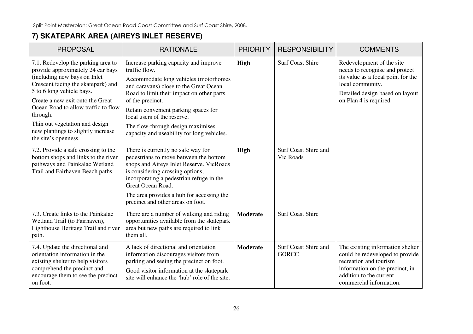### **7) SKATEPARK AREA (AIREYS INLET RESERVE)**

| <b>PROPOSAL</b>                                                                                                                                                                                                                                                                                                                                                   | <b>RATIONALE</b>                                                                                                                                                                                                                                                                                                                                                     | <b>PRIORITY</b> | <b>RESPONSIBILITY</b>                | <b>COMMENTS</b>                                                                                                                                                                        |
|-------------------------------------------------------------------------------------------------------------------------------------------------------------------------------------------------------------------------------------------------------------------------------------------------------------------------------------------------------------------|----------------------------------------------------------------------------------------------------------------------------------------------------------------------------------------------------------------------------------------------------------------------------------------------------------------------------------------------------------------------|-----------------|--------------------------------------|----------------------------------------------------------------------------------------------------------------------------------------------------------------------------------------|
| 7.1. Redevelop the parking area to<br>provide approximately 24 car bays<br>(including new bays on Inlet<br>Crescent facing the skatepark) and<br>5 to 6 long vehicle bays.<br>Create a new exit onto the Great<br>Ocean Road to allow traffic to flow<br>through.<br>Thin out vegetation and design<br>new plantings to slightly increase<br>the site's openness. | Increase parking capacity and improve<br>traffic flow.<br>Accommodate long vehicles (motorhomes<br>and caravans) close to the Great Ocean<br>Road to limit their impact on other parts<br>of the precinct.<br>Retain convenient parking spaces for<br>local users of the reserve.<br>The flow-through design maximises<br>capacity and useability for long vehicles. | High            | <b>Surf Coast Shire</b>              | Redevelopment of the site<br>needs to recognise and protect<br>its value as a focal point for the<br>local community.<br>Detailed design based on layout<br>on Plan 4 is required      |
| 7.2. Provide a safe crossing to the<br>bottom shops and links to the river<br>pathways and Painkalac Wetland<br>Trail and Fairhaven Beach paths.                                                                                                                                                                                                                  | There is currently no safe way for<br>pedestrians to move between the bottom<br>shops and Aireys Inlet Reserve. VicRoads<br>is considering crossing options,<br>incorporating a pedestrian refuge in the<br>Great Ocean Road.<br>The area provides a hub for accessing the<br>precinct and other areas on foot.                                                      | <b>High</b>     | Surf Coast Shire and<br>Vic Roads    |                                                                                                                                                                                        |
| 7.3. Create links to the Painkalac<br>Wetland Trail (to Fairhaven),<br>Lighthouse Heritage Trail and river<br>path.                                                                                                                                                                                                                                               | There are a number of walking and riding<br>opportunities available from the skatepark<br>area but new paths are required to link<br>them all.                                                                                                                                                                                                                       | <b>Moderate</b> | <b>Surf Coast Shire</b>              |                                                                                                                                                                                        |
| 7.4. Update the directional and<br>orientation information in the<br>existing shelter to help visitors<br>comprehend the precinct and<br>encourage them to see the precinct<br>on foot.                                                                                                                                                                           | A lack of directional and orientation<br>information discourages visitors from<br>parking and seeing the precinct on foot.<br>Good visitor information at the skatepark<br>site will enhance the 'hub' role of the site.                                                                                                                                             | <b>Moderate</b> | Surf Coast Shire and<br><b>GORCC</b> | The existing information shelter<br>could be redeveloped to provide<br>recreation and tourism<br>information on the precinct, in<br>addition to the current<br>commercial information. |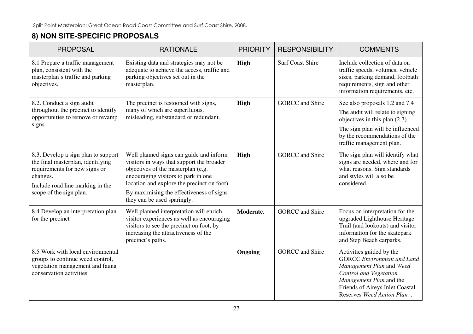## **8) NON SITE-SPECIFIC PROPOSALS**

| <b>PROPOSAL</b>                                                                                                                                                                      | <b>RATIONALE</b>                                                                                                                                                                                                                                                                            | <b>PRIORITY</b> | <b>RESPONSIBILITY</b>   | <b>COMMENTS</b>                                                                                                                                                                                                |
|--------------------------------------------------------------------------------------------------------------------------------------------------------------------------------------|---------------------------------------------------------------------------------------------------------------------------------------------------------------------------------------------------------------------------------------------------------------------------------------------|-----------------|-------------------------|----------------------------------------------------------------------------------------------------------------------------------------------------------------------------------------------------------------|
| 8.1 Prepare a traffic management<br>plan, consistent with the<br>masterplan's traffic and parking<br>objectives.                                                                     | Existing data and strategies may not be<br>adequate to achieve the access, traffic and<br>parking objectives set out in the<br>masterplan.                                                                                                                                                  | <b>High</b>     | <b>Surf Coast Shire</b> | Include collection of data on<br>traffic speeds, volumes, vehicle<br>sizes, parking demand, footpath<br>requirements, sign and other<br>information requirements, etc.                                         |
| 8.2. Conduct a sign audit<br>throughout the precinct to identify<br>opportunities to remove or revamp<br>signs.                                                                      | The precinct is festooned with signs,<br>many of which are superfluous,<br>misleading, substandard or redundant.                                                                                                                                                                            | <b>High</b>     | <b>GORCC</b> and Shire  | See also proposals 1.2 and 7.4<br>The audit will relate to signing<br>objectives in this plan $(2.7)$ .<br>The sign plan will be influenced<br>by the recommendations of the<br>traffic management plan.       |
| 8.3. Develop a sign plan to support<br>the final masterplan, identifying<br>requirements for new signs or<br>changes.<br>Include road line marking in the<br>scope of the sign plan. | Well planned signs can guide and inform<br>visitors in ways that support the broader<br>objectives of the masterplan (e.g.<br>encouraging visitors to park in one<br>location and explore the precinct on foot).<br>By maximising the effectiveness of signs<br>they can be used sparingly. | <b>High</b>     | <b>GORCC</b> and Shire  | The sign plan will identify what<br>signs are needed, where and for<br>what reasons. Sign standards<br>and styles will also be<br>considered.                                                                  |
| 8.4 Develop an interpretation plan<br>for the precinct                                                                                                                               | Well planned interpretation will enrich<br>visitor experiences as well as encouraging<br>visitors to see the precinct on foot, by<br>increasing the attractiveness of the<br>precinct's paths.                                                                                              | Moderate.       | <b>GORCC</b> and Shire  | Focus on interpretation for the<br>upgraded Lighthouse Heritage<br>Trail (and lookouts) and visitor<br>information for the skatepark<br>and Step Beach carparks.                                               |
| 8.5 Work with local environmental<br>groups to continue weed control,<br>vegetation management and fauna<br>conservation activities.                                                 |                                                                                                                                                                                                                                                                                             | Ongoing         | <b>GORCC</b> and Shire  | Activities guided by the<br><b>GORCC</b> Environment and Land<br>Management Plan and Weed<br>Control and Vegetation<br>Management Plan and the<br>Friends of Aireys Inlet Coastal<br>Reserves Weed Action Plan |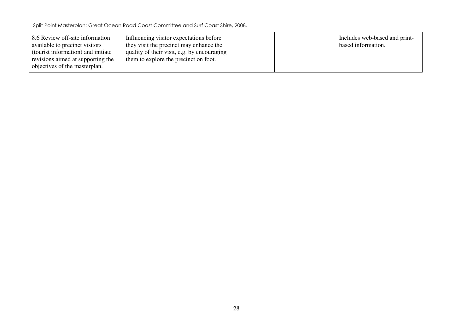| 8.6 Review off-site information<br>available to precinct visitors<br>(tourist information) and initiate<br>revisions aimed at supporting the | Influencing visitor expectations before<br>they visit the precinct may enhance the<br>quality of their visit, e.g. by encouraging<br>them to explore the precinct on foot. |  | Includes web-based and print-<br>based information. |
|----------------------------------------------------------------------------------------------------------------------------------------------|----------------------------------------------------------------------------------------------------------------------------------------------------------------------------|--|-----------------------------------------------------|
| objectives of the masterplan.                                                                                                                |                                                                                                                                                                            |  |                                                     |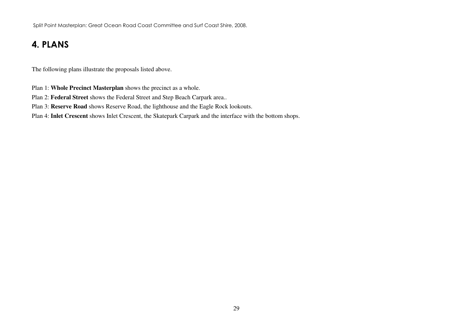## 4. PLANS

The following plans illustrate the proposals listed above.

Plan 1: **Whole Precinct Masterplan** shows the precinct as a whole.

Plan 2: **Federal Street** shows the Federal Street and Step Beach Carpark area..

Plan 3: **Reserve Road** shows Reserve Road, the lighthouse and the Eagle Rock lookouts.

Plan 4: **Inlet Crescent** shows Inlet Crescent, the Skatepark Carpark and the interface with the bottom shops.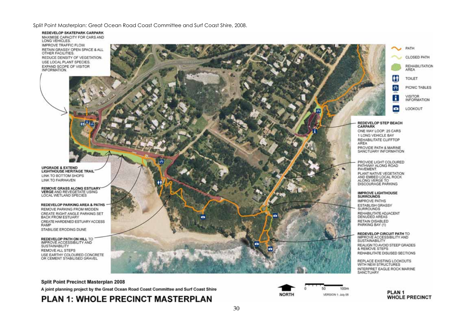REDEVELOP SKATEPARK CARPARK MAXIMISE CAPACITY FOR CARS AND LONG VEHICLES. IMPROVE TRAFFIC FLOW. RETAIN GRASSY OPEN SPACE & ALL OTHER FACILITIES. REDUCE DENSITY OF VEGETATION. USE LOCAL PLANT SPECIES. EXPAND SCOPE OF VISITOR INFORMATION.

**UPGRADE & EXTEND LIGHTHOUSE HERITAGE TRAIL** LINK TO BOTTOM SHOPS LINK TO FAIRHAVEN

**REMOVE GRASS ALONG ESTUARY** VERGE AND REVEGETATE USING LOCAL WETLAND SPECIES

**REDEVELOP PARKING AREA & PATHS** REMOVE PARKING FROM MIDDEN CREATE RIGHT ANGLE PARKING SET **BACK FROM ESTUARY** CREATE HARDENED ESTUARY ACCESS **RAMP** STABILISE ERODING DUNE

**REDEVELOP PATH ON HILL TO** IMPROVE ACCESSIBILITY AND **SUSTAINABILITY REMOVE ALL STEPS** USE EARTHY COLOURED CONCRETE OR CEMENT STABILISED GRAVEL



1 LONG VEHICLE BAY REHABILITATE CLIFFTOP AREA PROVIDE PATH & MARINE SANCTUARY INFORMATION

PROVIDE LIGHT COLOURED PATHWAY ALONG ROAD PAVEMENT. PLANT NATIVE VEGETATION AND EMBED LOCAL ROCK ALONG VERGE TO **DISCOURAGE PARKING** 

#### **IMPROVE LIGHTHOUSE SURROUNDS**

**IMPROVE PATHS** ESTABLISH GRASSY SURROUNDS REHABILITATE ADJACENT DENUDED AREAS RETAIN DISABLED PARKING BAY (1)

#### REDEVELOP CIRCUIT PATH TO

IMPROVE ACCESSIBILITY AND **SUSTAINABILITY** REALIGN TO AVOID STEEP GRADES & REMOVE STEPS REHABILITATE DISUSED SECTIONS

REPLACE EXISTING LOOKOUTS WITH NEW STRUCTURES INTERPRET EAGLE ROCK MARINE SANCTUARY

#### Split Point Precinct Masterplan 2008

A joint planning project by the Great Ocean Road Coast Committee and Surf Coast Shire

#### **PLAN 1: WHOLE PRECINCT MASTERPLAN**



٠

PLAN<sub>1</sub> **WHOLE PRECINCT**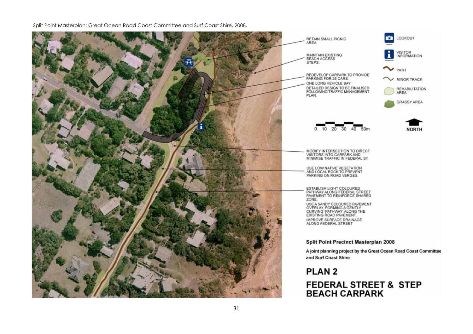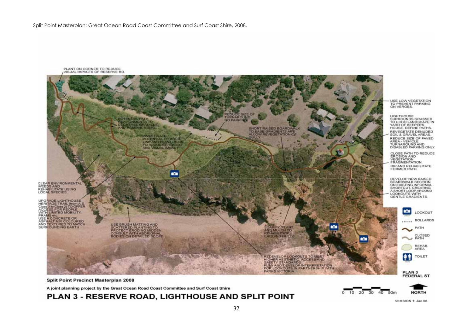

A joint planning project by the Great Ocean Road Coast Committee and Surf Coast Shire

#### PLAN 3 - RESERVE ROAD, LIGHTHOUSE AND SPLIT POINT



20

 $\Omega$ 10

VERSION 1: Jan 08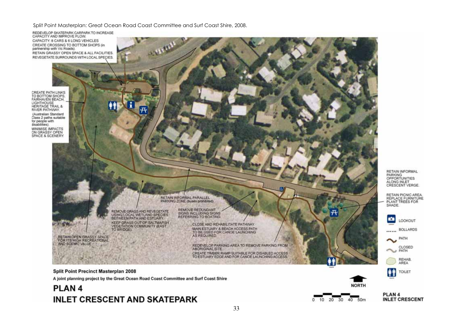

PLAN<sub>4</sub> **INLET CRESCENT** 

LOOKOUT

PATH

CLOSED

REHAB. AREA

TOILET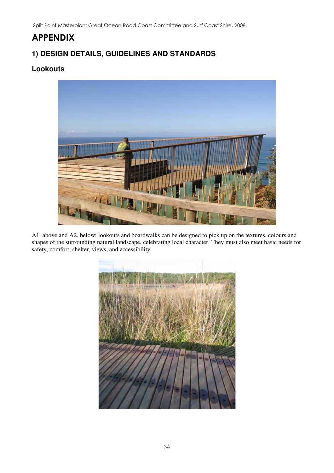## **APPENDIX**

## **1) DESIGN DETAILS, GUIDELINES AND STANDARDS**

#### **Lookouts**



A1. above and A2. below: lookouts and boardwalks can be designed to pick up on the textures, colours and shapes of the surrounding natural landscape, celebrating local character. They must also meet basic needs for safety, comfort, shelter, views, and accessibility.

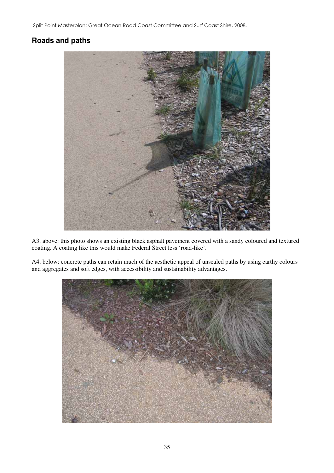#### **Roads and paths**



A3. above: this photo shows an existing black asphalt pavement covered with a sandy coloured and textured coating. A coating like this would make Federal Street less 'road-like'.

A4. below: concrete paths can retain much of the aesthetic appeal of unsealed paths by using earthy colours and aggregates and soft edges, with accessibility and sustainability advantages.

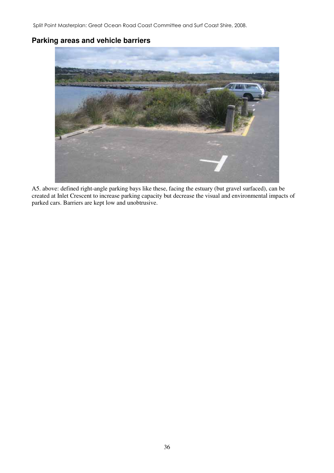#### **Parking areas and vehicle barriers**



A5. above: defined right-angle parking bays like these, facing the estuary (but gravel surfaced), can be created at Inlet Crescent to increase parking capacity but decrease the visual and environmental impacts of parked cars. Barriers are kept low and unobtrusive.